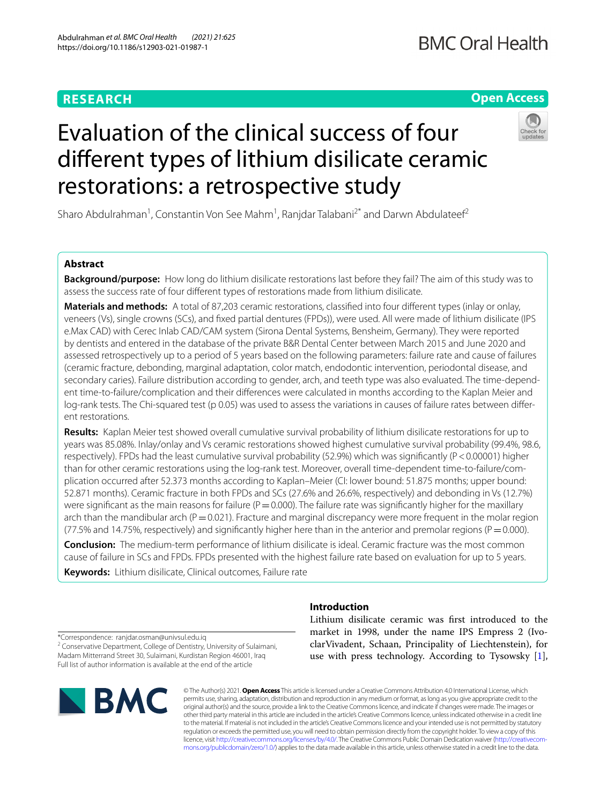# **RESEARCH**

# **Open Access**



# Evaluation of the clinical success of four diferent types of lithium disilicate ceramic restorations: a retrospective study

Sharo Abdulrahman<sup>1</sup>, Constantin Von See Mahm<sup>1</sup>, Ranjdar Talabani<sup>2\*</sup> and Darwn Abdulateef<sup>2</sup>

# **Abstract**

**Background/purpose:** How long do lithium disilicate restorations last before they fail? The aim of this study was to assess the success rate of four diferent types of restorations made from lithium disilicate.

**Materials and methods:** A total of 87,203 ceramic restorations, classifed into four diferent types (inlay or onlay, veneers (Vs), single crowns (SCs), and fxed partial dentures (FPDs)), were used. All were made of lithium disilicate (IPS e.Max CAD) with Cerec Inlab CAD/CAM system (Sirona Dental Systems, Bensheim, Germany). They were reported by dentists and entered in the database of the private B&R Dental Center between March 2015 and June 2020 and assessed retrospectively up to a period of 5 years based on the following parameters: failure rate and cause of failures (ceramic fracture, debonding, marginal adaptation, color match, endodontic intervention, periodontal disease, and secondary caries). Failure distribution according to gender, arch, and teeth type was also evaluated. The time-dependent time-to-failure/complication and their diferences were calculated in months according to the Kaplan Meier and log-rank tests. The Chi-squared test (p 0.05) was used to assess the variations in causes of failure rates between diferent restorations.

**Results:** Kaplan Meier test showed overall cumulative survival probability of lithium disilicate restorations for up to years was 85.08%. Inlay/onlay and Vs ceramic restorations showed highest cumulative survival probability (99.4%, 98.6, respectively). FPDs had the least cumulative survival probability (52.9%) which was signifcantly (P<0.00001) higher than for other ceramic restorations using the log-rank test. Moreover, overall time-dependent time-to-failure/complication occurred after 52.373 months according to Kaplan–Meier (CI: lower bound: 51.875 months; upper bound: 52.871 months). Ceramic fracture in both FPDs and SCs (27.6% and 26.6%, respectively) and debonding in Vs (12.7%) were significant as the main reasons for failure ( $P=0.000$ ). The failure rate was significantly higher for the maxillary arch than the mandibular arch ( $P=0.021$ ). Fracture and marginal discrepancy were more frequent in the molar region (77.5% and 14.75%, respectively) and significantly higher here than in the anterior and premolar regions ( $P=0.000$ ).

**Conclusion:** The medium-term performance of lithium disilicate is ideal. Ceramic fracture was the most common cause of failure in SCs and FPDs. FPDs presented with the highest failure rate based on evaluation for up to 5 years.

**Keywords:** Lithium disilicate, Clinical outcomes, Failure rate

# **Introduction**

\*Correspondence: ranjdar.osman@univsul.edu.iq

<sup>2</sup> Conservative Department, College of Dentistry, University of Sulaimani, Madam Mitterrand Street 30, Sulaimani, Kurdistan Region 46001, Iraq Full list of author information is available at the end of the article



Lithium disilicate ceramic was frst introduced to the market in 1998, under the name IPS Empress 2 (IvoclarVivadent, Schaan, Principality of Liechtenstein), for use with press technology. According to Tysowsky [\[1](#page-6-0)],

© The Author(s) 2021. **Open Access** This article is licensed under a Creative Commons Attribution 4.0 International License, which permits use, sharing, adaptation, distribution and reproduction in any medium or format, as long as you give appropriate credit to the original author(s) and the source, provide a link to the Creative Commons licence, and indicate if changes were made. The images or other third party material in this article are included in the article's Creative Commons licence, unless indicated otherwise in a credit line to the material. If material is not included in the article's Creative Commons licence and your intended use is not permitted by statutory regulation or exceeds the permitted use, you will need to obtain permission directly from the copyright holder. To view a copy of this licence, visit [http://creativecommons.org/licenses/by/4.0/.](http://creativecommons.org/licenses/by/4.0/) The Creative Commons Public Domain Dedication waiver ([http://creativecom](http://creativecommons.org/publicdomain/zero/1.0/)[mons.org/publicdomain/zero/1.0/\)](http://creativecommons.org/publicdomain/zero/1.0/) applies to the data made available in this article, unless otherwise stated in a credit line to the data.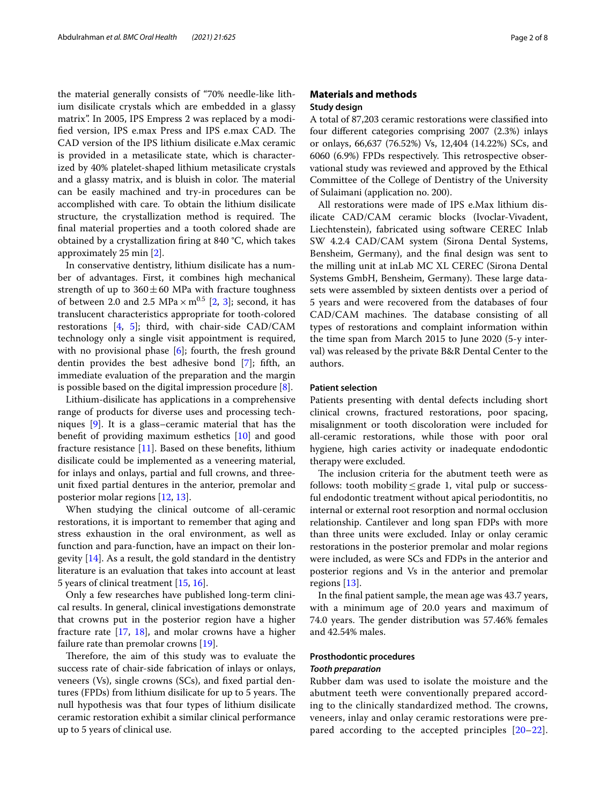the material generally consists of "70% needle-like lithium disilicate crystals which are embedded in a glassy matrix". In 2005, IPS Empress 2 was replaced by a modified version, IPS e.max Press and IPS e.max CAD. The CAD version of the IPS lithium disilicate e.Max ceramic is provided in a metasilicate state, which is characterized by 40% platelet-shaped lithium metasilicate crystals and a glassy matrix, and is bluish in color. The material can be easily machined and try-in procedures can be accomplished with care. To obtain the lithium disilicate structure, the crystallization method is required. The fnal material properties and a tooth colored shade are obtained by a crystallization fring at 840 °C, which takes approximately 25 min [\[2](#page-6-1)].

In conservative dentistry, lithium disilicate has a number of advantages. First, it combines high mechanical strength of up to  $360 \pm 60$  MPa with fracture toughness of between [2](#page-6-1).0 and 2.5  $MPa \times m^{0.5}$  [2, [3](#page-6-2)]; second, it has translucent characteristics appropriate for tooth-colored restorations  $[4, 5]$  $[4, 5]$  $[4, 5]$  $[4, 5]$ ; third, with chair-side CAD/CAM technology only a single visit appointment is required, with no provisional phase  $[6]$  $[6]$ ; fourth, the fresh ground dentin provides the best adhesive bond [\[7](#page-6-6)]; ffth, an immediate evaluation of the preparation and the margin is possible based on the digital impression procedure [[8\]](#page-6-7).

Lithium-disilicate has applications in a comprehensive range of products for diverse uses and processing techniques [\[9](#page-6-8)]. It is a glass–ceramic material that has the beneft of providing maximum esthetics [[10](#page-6-9)] and good fracture resistance  $[11]$  $[11]$ . Based on these benefits, lithium disilicate could be implemented as a veneering material, for inlays and onlays, partial and full crowns, and threeunit fxed partial dentures in the anterior, premolar and posterior molar regions [\[12](#page-7-1), [13\]](#page-7-2).

When studying the clinical outcome of all-ceramic restorations, it is important to remember that aging and stress exhaustion in the oral environment, as well as function and para-function, have an impact on their longevity [[14\]](#page-7-3). As a result, the gold standard in the dentistry literature is an evaluation that takes into account at least 5 years of clinical treatment [\[15,](#page-7-4) [16](#page-7-5)].

Only a few researches have published long-term clinical results. In general, clinical investigations demonstrate that crowns put in the posterior region have a higher fracture rate [\[17](#page-7-6), [18](#page-7-7)], and molar crowns have a higher failure rate than premolar crowns [\[19\]](#page-7-8).

Therefore, the aim of this study was to evaluate the success rate of chair-side fabrication of inlays or onlays, veneers (Vs), single crowns (SCs), and fxed partial dentures (FPDs) from lithium disilicate for up to 5 years. The null hypothesis was that four types of lithium disilicate ceramic restoration exhibit a similar clinical performance up to 5 years of clinical use.

# **Materials and methods Study design**

A total of 87,203 ceramic restorations were classifed into four diferent categories comprising 2007 (2.3%) inlays or onlays, 66,637 (76.52%) Vs, 12,404 (14.22%) SCs, and 6060 (6.9%) FPDs respectively. This retrospective observational study was reviewed and approved by the Ethical Committee of the College of Dentistry of the University of Sulaimani (application no. 200).

All restorations were made of IPS e.Max lithium disilicate CAD/CAM ceramic blocks (Ivoclar-Vivadent, Liechtenstein), fabricated using software CEREC Inlab SW 4.2.4 CAD/CAM system (Sirona Dental Systems, Bensheim, Germany), and the fnal design was sent to the milling unit at inLab MC XL CEREC (Sirona Dental Systems GmbH, Bensheim, Germany). These large datasets were assembled by sixteen dentists over a period of 5 years and were recovered from the databases of four CAD/CAM machines. The database consisting of all types of restorations and complaint information within the time span from March 2015 to June 2020 (5-y interval) was released by the private B&R Dental Center to the authors.

# **Patient selection**

Patients presenting with dental defects including short clinical crowns, fractured restorations, poor spacing, misalignment or tooth discoloration were included for all-ceramic restorations, while those with poor oral hygiene, high caries activity or inadequate endodontic therapy were excluded.

The inclusion criteria for the abutment teeth were as follows: tooth mobility≤grade 1, vital pulp or successful endodontic treatment without apical periodontitis, no internal or external root resorption and normal occlusion relationship. Cantilever and long span FDPs with more than three units were excluded. Inlay or onlay ceramic restorations in the posterior premolar and molar regions were included, as were SCs and FDPs in the anterior and posterior regions and Vs in the anterior and premolar regions [\[13](#page-7-2)].

In the fnal patient sample, the mean age was 43.7 years, with a minimum age of 20.0 years and maximum of 74.0 years. The gender distribution was 57.46% females and 42.54% males.

# **Prosthodontic procedures**

#### *Tooth preparation*

Rubber dam was used to isolate the moisture and the abutment teeth were conventionally prepared according to the clinically standardized method. The crowns, veneers, inlay and onlay ceramic restorations were prepared according to the accepted principles [[20–](#page-7-9)[22](#page-7-10)].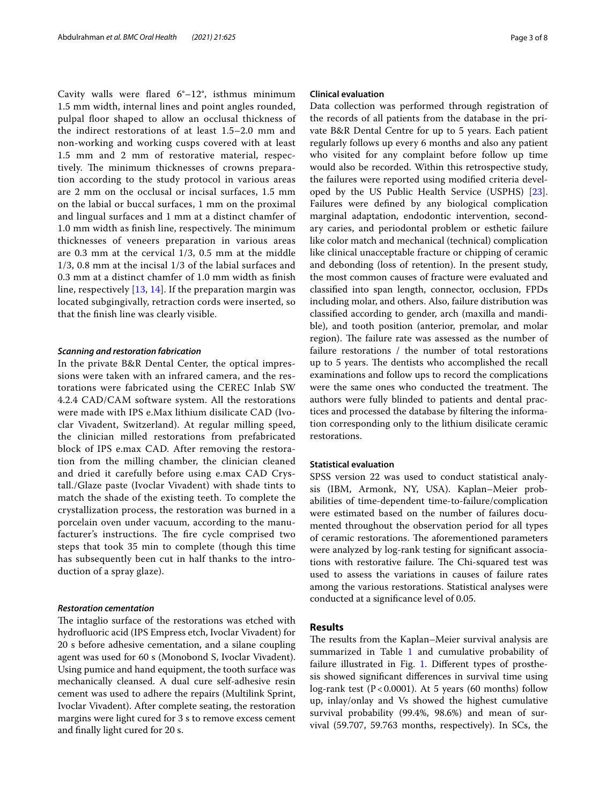Cavity walls were fared 6°–12°, isthmus minimum 1.5 mm width, internal lines and point angles rounded, pulpal foor shaped to allow an occlusal thickness of the indirect restorations of at least 1.5–2.0 mm and non-working and working cusps covered with at least 1.5 mm and 2 mm of restorative material, respectively. The minimum thicknesses of crowns preparation according to the study protocol in various areas are 2 mm on the occlusal or incisal surfaces, 1.5 mm on the labial or buccal surfaces, 1 mm on the proximal and lingual surfaces and 1 mm at a distinct chamfer of 1.0 mm width as finish line, respectively. The minimum thicknesses of veneers preparation in various areas are 0.3 mm at the cervical 1/3, 0.5 mm at the middle 1/3, 0.8 mm at the incisal 1/3 of the labial surfaces and 0.3 mm at a distinct chamfer of 1.0 mm width as fnish line, respectively [[13,](#page-7-2) [14\]](#page-7-3). If the preparation margin was located subgingivally, retraction cords were inserted, so that the fnish line was clearly visible.

## *Scanning and restoration fabrication*

In the private B&R Dental Center, the optical impressions were taken with an infrared camera, and the restorations were fabricated using the CEREC Inlab SW 4.2.4 CAD/CAM software system. All the restorations were made with IPS e.Max lithium disilicate CAD (Ivoclar Vivadent, Switzerland). At regular milling speed, the clinician milled restorations from prefabricated block of IPS e.max CAD. After removing the restoration from the milling chamber, the clinician cleaned and dried it carefully before using e.max CAD Crystall./Glaze paste (Ivoclar Vivadent) with shade tints to match the shade of the existing teeth. To complete the crystallization process, the restoration was burned in a porcelain oven under vacuum, according to the manufacturer's instructions. The fire cycle comprised two steps that took 35 min to complete (though this time has subsequently been cut in half thanks to the introduction of a spray glaze).

## *Restoration cementation*

The intaglio surface of the restorations was etched with hydrofuoric acid (IPS Empress etch, Ivoclar Vivadent) for 20 s before adhesive cementation, and a silane coupling agent was used for 60 s (Monobond S, Ivoclar Vivadent). Using pumice and hand equipment, the tooth surface was mechanically cleansed. A dual cure self-adhesive resin cement was used to adhere the repairs (Multilink Sprint, Ivoclar Vivadent). After complete seating, the restoration margins were light cured for 3 s to remove excess cement and fnally light cured for 20 s.

# **Clinical evaluation**

Data collection was performed through registration of the records of all patients from the database in the private B&R Dental Centre for up to 5 years. Each patient regularly follows up every 6 months and also any patient who visited for any complaint before follow up time would also be recorded. Within this retrospective study, the failures were reported using modifed criteria developed by the US Public Health Service (USPHS) [\[23](#page-7-11)]. Failures were defned by any biological complication marginal adaptation, endodontic intervention, secondary caries, and periodontal problem or esthetic failure like color match and mechanical (technical) complication like clinical unacceptable fracture or chipping of ceramic and debonding (loss of retention). In the present study, the most common causes of fracture were evaluated and classifed into span length, connector, occlusion, FPDs including molar, and others. Also, failure distribution was classifed according to gender, arch (maxilla and mandible), and tooth position (anterior, premolar, and molar region). The failure rate was assessed as the number of failure restorations / the number of total restorations up to 5 years. The dentists who accomplished the recall examinations and follow ups to record the complications were the same ones who conducted the treatment. The authors were fully blinded to patients and dental practices and processed the database by fltering the information corresponding only to the lithium disilicate ceramic restorations.

# **Statistical evaluation**

SPSS version 22 was used to conduct statistical analysis (IBM, Armonk, NY, USA). Kaplan–Meier probabilities of time-dependent time-to-failure/complication were estimated based on the number of failures documented throughout the observation period for all types of ceramic restorations. The aforementioned parameters were analyzed by log-rank testing for signifcant associations with restorative failure. The Chi-squared test was used to assess the variations in causes of failure rates among the various restorations. Statistical analyses were conducted at a signifcance level of 0.05.

# **Results**

The results from the Kaplan–Meier survival analysis are summarized in Table  $1$  and cumulative probability of failure illustrated in Fig. [1.](#page-4-0) Diferent types of prosthesis showed signifcant diferences in survival time using log-rank test  $(P < 0.0001)$ . At 5 years  $(60 \text{ months})$  follow up, inlay/onlay and Vs showed the highest cumulative survival probability (99.4%, 98.6%) and mean of survival (59.707, 59.763 months, respectively). In SCs, the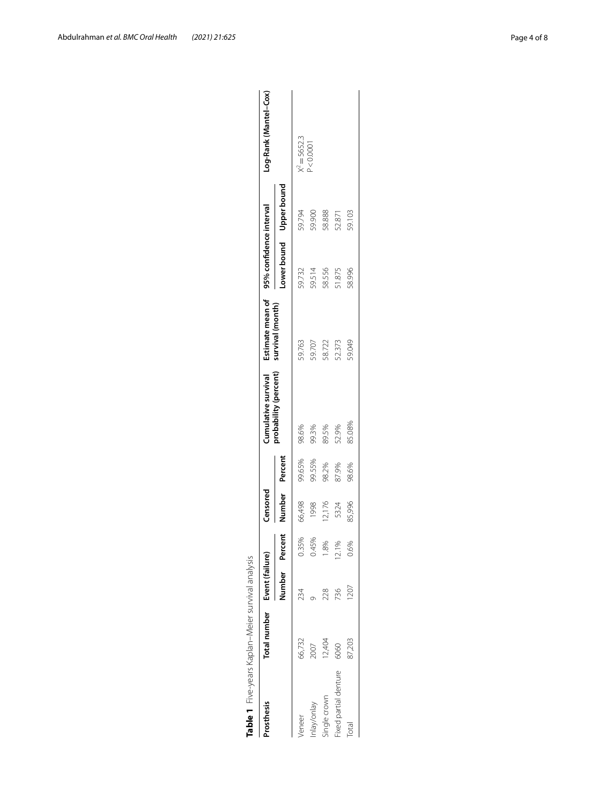| 66,732<br>Prosthesis<br>leneer | Total number Event (failure) |       | Censored       |        |                       |                  |                         |                         |                       |
|--------------------------------|------------------------------|-------|----------------|--------|-----------------------|------------------|-------------------------|-------------------------|-----------------------|
|                                |                              |       |                |        | Cumulative survival   | Estimate mean of | 95% confidence interval |                         | Log-Rank (Mantel-Cox) |
|                                | Number Percent               |       | Number Percent |        | probability (percent) | survival (month) |                         | Lower bound Upper bound |                       |
|                                | 234                          | 0.35% | 66,498         | 99.65% | 98.6%                 | 59.763           | 59.732                  | 59.794                  | $X^2 = 5652.3$        |
| 2007<br>nlay/onlay             |                              | 0.45% | 1998           | 99.55% | 99.3%                 | 59.707           | 59.514                  | 59.900                  | 0.0001                |
| 12,404<br>single crown         | 228                          |       | 2,176          | 98.2%  | 89.5%                 | 58.722           | 58.556                  | 58.888                  |                       |
| 6060<br>Fixed partial denture  | 736                          |       | 5324           | 87.9%  | 52.9%                 | 52.373           | 51.875                  | 52.871                  |                       |
| 87,203<br>Total                | ,207                         | 0.6%  | 85,996         | 98.6%  | 85.08%                | 59.049           | 58.996                  | 59.103                  |                       |

<span id="page-3-0"></span>

| )<br>)<br>)<br>Agiar curvilland and<br>ā<br>5<br>w-wehre X sienzer |  |
|--------------------------------------------------------------------|--|
| י<br>5<br>Í                                                        |  |
|                                                                    |  |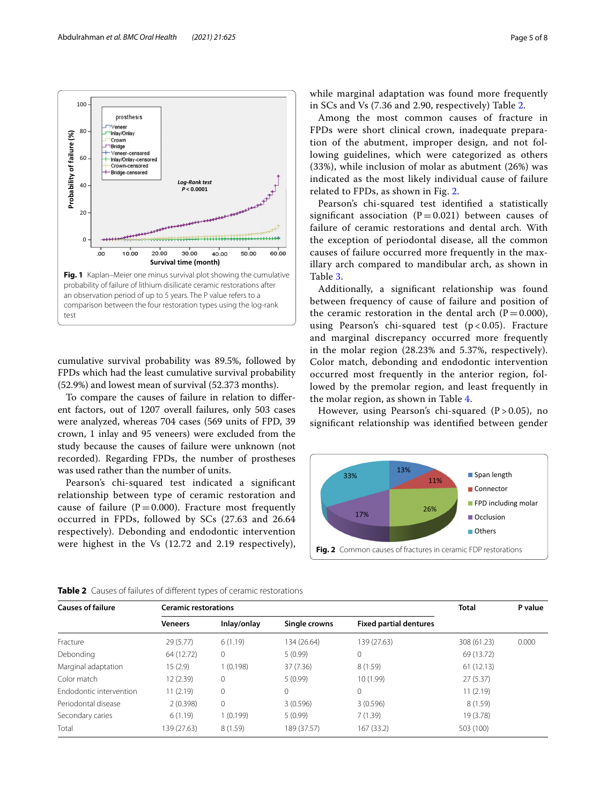

<span id="page-4-0"></span>cumulative survival probability was 89.5%, followed by FPDs which had the least cumulative survival probability (52.9%) and lowest mean of survival (52.373 months).

To compare the causes of failure in relation to diferent factors, out of 1207 overall failures, only 503 cases were analyzed, whereas 704 cases (569 units of FPD, 39 crown, 1 inlay and 95 veneers) were excluded from the study because the causes of failure were unknown (not recorded). Regarding FPDs, the number of prostheses was used rather than the number of units.

Pearson's chi-squared test indicated a signifcant relationship between type of ceramic restoration and cause of failure ( $P=0.000$ ). Fracture most frequently occurred in FPDs, followed by SCs (27.63 and 26.64 respectively). Debonding and endodontic intervention were highest in the Vs (12.72 and 2.19 respectively), while marginal adaptation was found more frequently in SCs and Vs (7.36 and 2.90, respectively) Table [2.](#page-4-1)

Among the most common causes of fracture in FPDs were short clinical crown, inadequate preparation of the abutment, improper design, and not following guidelines, which were categorized as others (33%), while inclusion of molar as abutment (26%) was indicated as the most likely individual cause of failure related to FPDs, as shown in Fig. [2](#page-4-2).

Pearson's chi-squared test identifed a statistically significant association ( $P=0.021$ ) between causes of failure of ceramic restorations and dental arch. With the exception of periodontal disease, all the common causes of failure occurred more frequently in the maxillary arch compared to mandibular arch, as shown in Table [3](#page-5-0).

Additionally, a signifcant relationship was found between frequency of cause of failure and position of the ceramic restoration in the dental arch  $(P=0.000)$ , using Pearson's chi-squared test  $(p < 0.05)$ . Fracture and marginal discrepancy occurred more frequently in the molar region (28.23% and 5.37%, respectively). Color match, debonding and endodontic intervention occurred most frequently in the anterior region, followed by the premolar region, and least frequently in the molar region, as shown in Table [4](#page-5-1).

However, using Pearson's chi-squared  $(P > 0.05)$ , no signifcant relationship was identifed between gender

<span id="page-4-2"></span>

<span id="page-4-1"></span>

| <b>Causes of failure</b> | <b>Ceramic restorations</b> | <b>Total</b> | P value       |                               |             |       |  |
|--------------------------|-----------------------------|--------------|---------------|-------------------------------|-------------|-------|--|
|                          | <b>Veneers</b>              | Inlay/onlay  | Single crowns | <b>Fixed partial dentures</b> |             |       |  |
| Fracture                 | 29(5.77)                    | 6(1.19)      | 134 (26.64)   | 139 (27.63)                   | 308 (61.23) | 0.000 |  |
| Debonding                | 64 (12.72)                  | 0            | 5(0.99)       | 0                             | 69 (13.72)  |       |  |
| Marginal adaptation      | 15 (2.9)                    | 1(0.198)     | 37 (7.36)     | 8(1.59)                       | 61(12.13)   |       |  |
| Color match              | 12 (2.39)                   | 0            | 5(0.99)       | 10 (1.99)                     | 27(5.37)    |       |  |
| Endodontic intervention  | 11 (2.19)                   | $\Omega$     |               | $\mathbf{0}$                  | 11(2.19)    |       |  |
| Periodontal disease      | 2(0.398)                    | $\Omega$     | 3(0.596)      | 3(0.596)                      | 8(1.59)     |       |  |
| Secondary caries         | 6(1.19)                     | 1(0.199)     | 5(0.99)       | 7(1.39)                       | 19 (3.78)   |       |  |
| Total                    | 139 (27.63)                 | 8(1.59)      | 189 (37.57)   | 167(33.2)                     | 503 (100)   |       |  |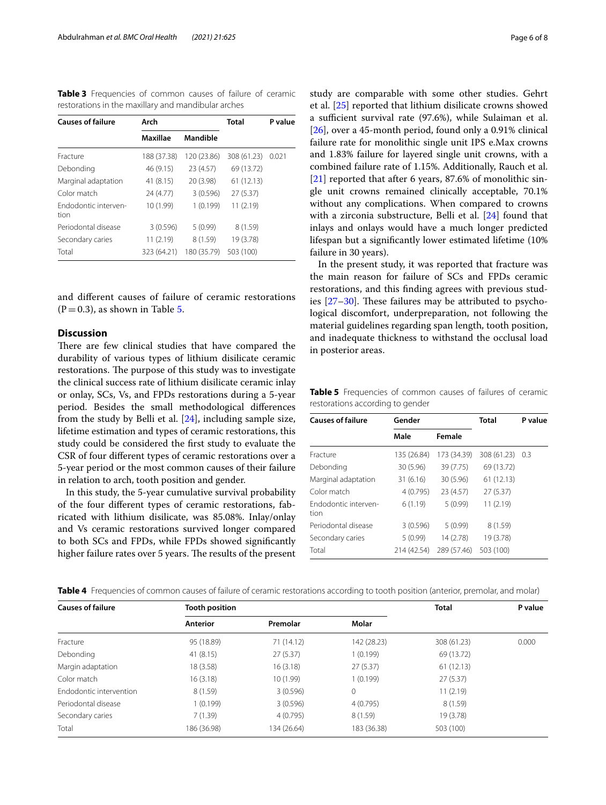<span id="page-5-0"></span>**Table 3** Frequencies of common causes of failure of ceramic restorations in the maxillary and mandibular arches

| <b>Causes of failure</b>     | Arch        |             | <b>Total</b> | P value |  |
|------------------------------|-------------|-------------|--------------|---------|--|
|                              | Maxillae    | Mandible    |              |         |  |
| Fracture                     | 188 (37.38) | 120 (23.86) | 308 (61.23)  | 0.021   |  |
| Debonding                    | 46 (9.15)   | 23 (4.57)   | 69 (13.72)   |         |  |
| Marginal adaptation          | 41 (8.15)   | 20 (3.98)   | 61(12.13)    |         |  |
| Color match                  | 24 (4.77)   | 3(0.596)    | 27(5.37)     |         |  |
| Fndodontic interven-<br>tion | 10 (1.99)   | 1(0.199)    | 11 (2.19)    |         |  |
| Periodontal disease          | 3(0.596)    | 5(0.99)     | 8(1.59)      |         |  |
| Secondary caries             | 11 (2.19)   | 8(1.59)     | 19 (3.78)    |         |  |
| Total                        | 323 (64.21) | 180 (35.79) | 503 (100)    |         |  |

and diferent causes of failure of ceramic restorations  $(P=0.3)$ , as shown in Table [5](#page-5-2).

# **Discussion**

There are few clinical studies that have compared the durability of various types of lithium disilicate ceramic restorations. The purpose of this study was to investigate the clinical success rate of lithium disilicate ceramic inlay or onlay, SCs, Vs, and FPDs restorations during a 5-year period. Besides the small methodological diferences from the study by Belli et al. [\[24](#page-7-12)], including sample size, lifetime estimation and types of ceramic restorations, this study could be considered the frst study to evaluate the CSR of four diferent types of ceramic restorations over a 5-year period or the most common causes of their failure in relation to arch, tooth position and gender.

In this study, the 5-year cumulative survival probability of the four diferent types of ceramic restorations, fabricated with lithium disilicate, was 85.08%. Inlay/onlay and Vs ceramic restorations survived longer compared to both SCs and FPDs, while FPDs showed signifcantly higher failure rates over 5 years. The results of the present study are comparable with some other studies. Gehrt et al. [\[25](#page-7-13)] reported that lithium disilicate crowns showed a sufficient survival rate (97.6%), while Sulaiman et al. [[26\]](#page-7-14), over a 45-month period, found only a 0.91% clinical failure rate for monolithic single unit IPS e.Max crowns and 1.83% failure for layered single unit crowns, with a combined failure rate of 1.15%. Additionally, Rauch et al. [[21\]](#page-7-15) reported that after 6 years, 87.6% of monolithic single unit crowns remained clinically acceptable, 70.1% without any complications. When compared to crowns with a zirconia substructure, Belli et al. [\[24\]](#page-7-12) found that inlays and onlays would have a much longer predicted lifespan but a signifcantly lower estimated lifetime (10% failure in 30 years).

In the present study, it was reported that fracture was the main reason for failure of SCs and FPDs ceramic restorations, and this fnding agrees with previous studies  $[27-30]$  $[27-30]$  $[27-30]$ . These failures may be attributed to psychological discomfort, underpreparation, not following the material guidelines regarding span length, tooth position, and inadequate thickness to withstand the occlusal load in posterior areas.

<span id="page-5-2"></span>**Table 5** Frequencies of common causes of failures of ceramic restorations according to gender

| <b>Causes of failure</b>     | Gender      |             | <b>Total</b> | P value |  |
|------------------------------|-------------|-------------|--------------|---------|--|
|                              | Male        | Female      |              |         |  |
| Fracture                     | 135 (26.84) | 173 (34.39) | 308 (61.23)  | 0.3     |  |
| Debonding                    | 30 (5.96)   | 39 (7.75)   | 69 (13.72)   |         |  |
| Marginal adaptation          | 31(6.16)    | 30 (5.96)   | 61 (12.13)   |         |  |
| Color match                  | 4(0.795)    | 23 (4.57)   | 27(5.37)     |         |  |
| Endodontic interven-<br>tion | 6(1.19)     | 5(0.99)     | 11(2.19)     |         |  |
| Periodontal disease          | 3(0.596)    | 5(0.99)     | 8(1.59)      |         |  |
| Secondary caries             | 5(0.99)     | 14 (2.78)   | 19 (3.78)    |         |  |
| Total                        | 214 (42.54) | 289 (57.46) | 503 (100)    |         |  |

<span id="page-5-1"></span>

|  |  | Table 4 Frequencies of common causes of failure of ceramic restorations according to tooth position (anterior, premolar, and molar) |  |  |  |
|--|--|-------------------------------------------------------------------------------------------------------------------------------------|--|--|--|
|  |  |                                                                                                                                     |  |  |  |

| <b>Causes of failure</b> | <b>Tooth position</b> |             |             | <b>Total</b> | P value |
|--------------------------|-----------------------|-------------|-------------|--------------|---------|
|                          | Anterior              | Premolar    | Molar       |              |         |
| Fracture                 | 95 (18.89)            | 71(14.12)   | 142 (28.23) | 308 (61.23)  | 0.000   |
| Debonding                | 41(8.15)              | 27(5.37)    | 1(0.199)    | 69 (13.72)   |         |
| Margin adaptation        | 18 (3.58)             | 16(3.18)    | 27(5.37)    | 61(12.13)    |         |
| Color match              | 16(3.18)              | 10 (1.99)   | 1(0.199)    | 27(5.37)     |         |
| Endodontic intervention  | 8(1.59)               | 3(0.596)    | 0           | 11(2.19)     |         |
| Periodontal disease      | 1(0.199)              | 3(0.596)    | 4(0.795)    | 8(1.59)      |         |
| Secondary caries         | 7(1.39)               | 4(0.795)    | 8 (1.59)    | 19 (3.78)    |         |
| Total                    | 186 (36.98)           | 134 (26.64) | 183 (36.38) | 503 (100)    |         |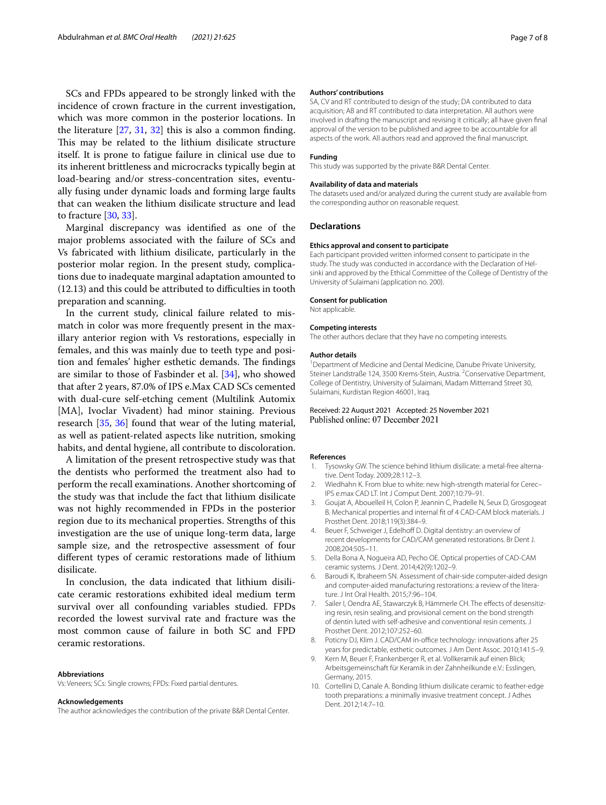SCs and FPDs appeared to be strongly linked with the incidence of crown fracture in the current investigation, which was more common in the posterior locations. In the literature  $[27, 31, 32]$  $[27, 31, 32]$  $[27, 31, 32]$  $[27, 31, 32]$  $[27, 31, 32]$  this is also a common finding. This may be related to the lithium disilicate structure itself. It is prone to fatigue failure in clinical use due to its inherent brittleness and microcracks typically begin at load-bearing and/or stress-concentration sites, eventually fusing under dynamic loads and forming large faults that can weaken the lithium disilicate structure and lead to fracture [\[30](#page-7-17), [33](#page-7-20)].

Marginal discrepancy was identifed as one of the major problems associated with the failure of SCs and Vs fabricated with lithium disilicate, particularly in the posterior molar region. In the present study, complications due to inadequate marginal adaptation amounted to  $(12.13)$  and this could be attributed to difficulties in tooth preparation and scanning.

In the current study, clinical failure related to mismatch in color was more frequently present in the maxillary anterior region with Vs restorations, especially in females, and this was mainly due to teeth type and position and females' higher esthetic demands. The findings are similar to those of Fasbinder et al. [[34](#page-7-21)], who showed that after 2 years, 87.0% of IPS e.Max CAD SCs cemented with dual-cure self-etching cement (Multilink Automix [MA], Ivoclar Vivadent) had minor staining. Previous research [[35,](#page-7-22) [36](#page-7-23)] found that wear of the luting material, as well as patient-related aspects like nutrition, smoking habits, and dental hygiene, all contribute to discoloration.

A limitation of the present retrospective study was that the dentists who performed the treatment also had to perform the recall examinations. Another shortcoming of the study was that include the fact that lithium disilicate was not highly recommended in FPDs in the posterior region due to its mechanical properties. Strengths of this investigation are the use of unique long-term data, large sample size, and the retrospective assessment of four diferent types of ceramic restorations made of lithium disilicate.

In conclusion, the data indicated that lithium disilicate ceramic restorations exhibited ideal medium term survival over all confounding variables studied. FPDs recorded the lowest survival rate and fracture was the most common cause of failure in both SC and FPD ceramic restorations.

#### **Abbreviations**

Vs: Veneers; SCs: Single crowns; FPDs: Fixed partial dentures.

#### **Acknowledgements**

The author acknowledges the contribution of the private B&R Dental Center.

#### **Authors' contributions**

SA, CV and RT contributed to design of the study; DA contributed to data acquisition; AB and RT contributed to data interpretation. All authors were involved in drafting the manuscript and revising it critically; all have given fnal approval of the version to be published and agree to be accountable for all aspects of the work. All authors read and approved the fnal manuscript.

#### **Funding**

This study was supported by the private B&R Dental Center.

#### **Availability of data and materials**

The datasets used and/or analyzed during the current study are available from the corresponding author on reasonable request.

#### **Declarations**

#### **Ethics approval and consent to participate**

Each participant provided written informed consent to participate in the study. The study was conducted in accordance with the Declaration of Helsinki and approved by the Ethical Committee of the College of Dentistry of the University of Sulaimani (application no. 200).

#### **Consent for publication**

Not applicable.

#### **Competing interests**

The other authors declare that they have no competing interests.

#### **Author details**

<sup>1</sup> Department of Medicine and Dental Medicine, Danube Private University, Steiner Landstraße 124, 3500 Krems-Stein, Austria. <sup>2</sup> Conservative Department, College of Dentistry, University of Sulaimani, Madam Mitterrand Street 30, Sulaimani, Kurdistan Region 46001, Iraq.

# Received: 22 August 2021 Accepted: 25 November 2021 Published online: 07 December 2021

#### **References**

- <span id="page-6-0"></span>Tysowsky GW. The science behind lithium disilicate: a metal-free alternative. Dent Today. 2009;28:112–3.
- <span id="page-6-1"></span>2. Wiedhahn K. From blue to white: new high-strength material for Cerec– IPS e.max CAD LT. Int J Comput Dent. 2007;10:79–91.
- <span id="page-6-2"></span>3. Goujat A, Abouelleil H, Colon P, Jeannin C, Pradelle N, Seux D, Grosgogeat B. Mechanical properties and internal ft of 4 CAD-CAM block materials. J Prosthet Dent. 2018;119(3):384–9.
- <span id="page-6-3"></span>4. Beuer F, Schweiger J, Edelhoff D. Digital dentistry: an overview of recent developments for CAD/CAM generated restorations. Br Dent J. 2008;204:505–11.
- <span id="page-6-4"></span>5. Della Bona A, Nogueira AD, Pecho OE. Optical properties of CAD-CAM ceramic systems. J Dent. 2014;42(9):1202–9.
- <span id="page-6-5"></span>6. Baroudi K, Ibraheem SN. Assessment of chair-side computer-aided design and computer-aided manufacturing restorations: a review of the literature. J Int Oral Health. 2015;7:96–104.
- <span id="page-6-6"></span>7. Sailer I, Oendra AE, Stawarczyk B, Hämmerle CH. The effects of desensitizing resin, resin sealing, and provisional cement on the bond strength of dentin luted with self-adhesive and conventional resin cements. J Prosthet Dent. 2012;107:252–60.
- <span id="page-6-7"></span>8. Poticny DJ, Klim J. CAD/CAM in-office technology: innovations after 25 years for predictable, esthetic outcomes. J Am Dent Assoc. 2010;141:5–9.
- <span id="page-6-8"></span>9. Kern M, Beuer F, Frankenberger R, et al. Vollkeramik auf einen Blick; Arbeitsgemeinschaft für Keramik in der Zahnheilkunde e.V.: Esslingen, Germany, 2015.
- <span id="page-6-9"></span>10. Cortellini D, Canale A. Bonding lithium disilicate ceramic to feather-edge tooth preparations: a minimally invasive treatment concept. J Adhes Dent. 2012;14:7–10.